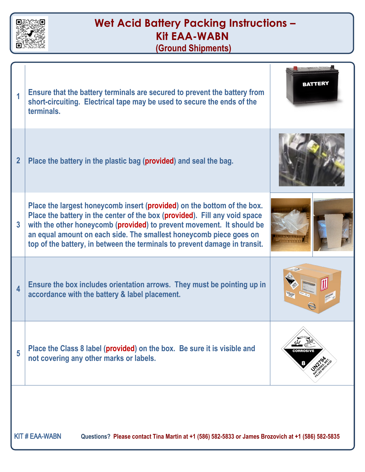

KIT # EAA-WABN **Questions? Please contact Tina Martin at +1 (586) 582-5833 or James Brozovich at +1 (586) 582-5835**